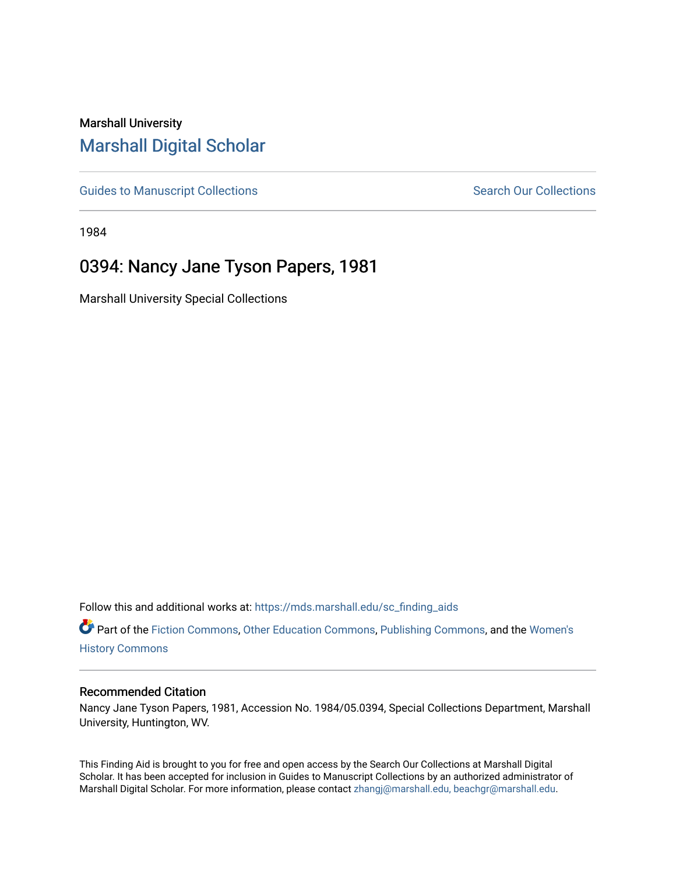## Marshall University [Marshall Digital Scholar](https://mds.marshall.edu/)

[Guides to Manuscript Collections](https://mds.marshall.edu/sc_finding_aids) **Search Our Collections** Search Our Collections

1984

## 0394: Nancy Jane Tyson Papers, 1981

Marshall University Special Collections

Follow this and additional works at: [https://mds.marshall.edu/sc\\_finding\\_aids](https://mds.marshall.edu/sc_finding_aids?utm_source=mds.marshall.edu%2Fsc_finding_aids%2F218&utm_medium=PDF&utm_campaign=PDFCoverPages) 

Part of the [Fiction Commons,](http://network.bepress.com/hgg/discipline/1151?utm_source=mds.marshall.edu%2Fsc_finding_aids%2F218&utm_medium=PDF&utm_campaign=PDFCoverPages) [Other Education Commons](http://network.bepress.com/hgg/discipline/811?utm_source=mds.marshall.edu%2Fsc_finding_aids%2F218&utm_medium=PDF&utm_campaign=PDFCoverPages), [Publishing Commons,](http://network.bepress.com/hgg/discipline/1357?utm_source=mds.marshall.edu%2Fsc_finding_aids%2F218&utm_medium=PDF&utm_campaign=PDFCoverPages) and the [Women's](http://network.bepress.com/hgg/discipline/507?utm_source=mds.marshall.edu%2Fsc_finding_aids%2F218&utm_medium=PDF&utm_campaign=PDFCoverPages)  [History Commons](http://network.bepress.com/hgg/discipline/507?utm_source=mds.marshall.edu%2Fsc_finding_aids%2F218&utm_medium=PDF&utm_campaign=PDFCoverPages)

## Recommended Citation

Nancy Jane Tyson Papers, 1981, Accession No. 1984/05.0394, Special Collections Department, Marshall University, Huntington, WV.

This Finding Aid is brought to you for free and open access by the Search Our Collections at Marshall Digital Scholar. It has been accepted for inclusion in Guides to Manuscript Collections by an authorized administrator of Marshall Digital Scholar. For more information, please contact [zhangj@marshall.edu, beachgr@marshall.edu](mailto:zhangj@marshall.edu,%20beachgr@marshall.edu).